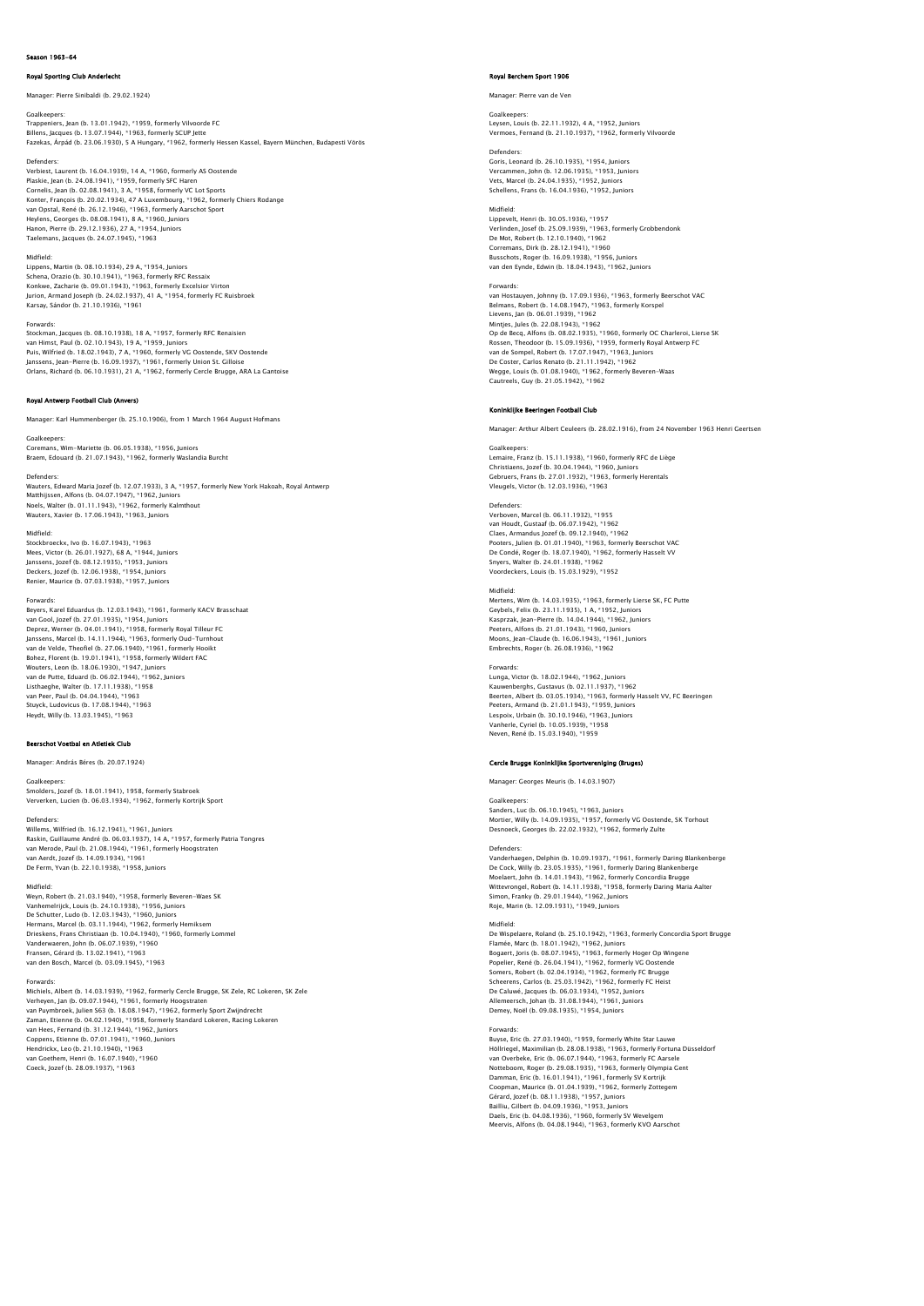# on 1963-64

# Royal Sporting Club Anderlecht

Manager: Pierre Sinibaldi (b. 29.02.1924)

Goalkeepers:<br>Trappeniers, Jean (b. 13.01.1942), \*1959, formerly Vilvoorde FC<br>Billens, Jacques (b. 13.07.1944), \*1963, formerly SCUP Jette<br>Fazekas, Árpád (b. 23.06.1930), 5 A Hungary, \*1962, formerly Hessen Kassel, Bayern M

Defenders:

Verbiest, Laurent (b. 16.04.1939), 14 A, \*1960, formerly AS Oostende Plaskie, Jean (b. 24.08.1941), \*1959, formerly SFC Haren<br>Cornelis, Jean (b. 02.08.1941), 3 A, \*1958, formerly VC Lot Sports<br>Konter, François (b. 20.02.1934), 47 A Luxembourg, \*1962, formerly Chiers Rodange<br>van Opstal, René Hanon, Pierre (b. 29.12.1936), 27 A, \*1954, Juniors Taelemans, Jacques (b. 24.07.1945), \*1963

# Midfield:

Lippens, Martin (b. 08.10.1934), 29 A, \*1954, Juniors Schena, Orazio (b. 30.10.1941), \*1963, formerly RFC Ressaix<br>Konkwe, Zacharie (b. 09.01.1943), \*1963, formerly Excelsior Virton<br>Jurion, Armand Joseph (b. 24.02.1937), 41 A, \*1954, formerly FC Ruisbroek<br>Karsay, Sándor (b. 21

## Forwards:

Stockman, Jacques (b. 08.10.1938), 18 A, \*1957, formerly RFC Renaisien<br>van Himst, Paul (b. 02.10.1943), 19 A, \*1959, Juniors<br>Puis, Wilfried (b. 18.02.1943), 7 A, \*1960, formerly VG Oostende, SKV Oostende<br>Janssens, Jean–Pie Orlans, Richard (b. 06.10.1931), 21 A, \*1962, formerly Cercle Brugge, ARA La Gantoise

# Royal Antwerp Football Club (An

Manager: Karl Hummenberger (b. 25.10.1906), from 1 March 1964 August Hofmans

# Goalkeepers:

Coremans, Wim-Mariette (b. 06.05.1938), \*1956, Juniors Braem, Edouard (b. 21.07.1943), \*1962, formerly Waslandia Burcht

Defender Wauters, Edward Maria Jozef (b. 12.07.1933), 3 A, \*1957, formerly New York Hakoah, Royal Antwerp Matthijssen, Alfons (b. 04.07.1947), \*1962, Juniors Noels, Walter (b. 01.11.1943), \*1962, formerly Kalmthout Wauters, Xavier (b. 17.06.1943), \*1963, Juniors

Midfield:<br>Steckhroacky, Jun (b. 16.07.1042), #1062 Stockbroeckx, Ivo (b. 16.07.1943), \*1963<br>Mees, Victor (b. 26.01.1927), 68 A, \*1944, Juniors<br>Janssens, Jozef (b. 18.12.1935), \*1953, Juniors<br>Deckers, Jozef (b. 12.06.1938), \*1954, Juniors Renier, Maurice (b. 07.03.1938), \*1957, Juniors

# Forwards:

Beyers, Karel Eduardus (b. 12.03.1943), \*1961, formerly KACV Brasschaat van Gool, Jozef (b. 27.01.1935), \* 1954, Juniors<br>Deprez, Werner (b. 04.01.1941), \* 1958, formerly Royal Tilleur FC<br>Janssens, Marcel (b. 14.11.1944), \* 1963, formerly Oud-Turnhout<br>van de Veide, Theofiel (b. 27.06.1940), \* 1 Listhaeghe, Walter (b. 17.11.1938), \*1958 van Peer, Paul (b. 04.04.1944), \*1963 Stuyck, Ludovicus (b. 17.08.1944), \*1963 Heydt, Willy (b. 13.03.1945), \*1963

## Beerschot Voetbal en Atletiek Club

Manager: András Béres (b. 20.07.1924)

## Goalkeeper

Smolders, Jozef (b. 18.01.1941), 1958, formerly Stabroek Ververken, Lucien (b. 06.03.1934), \*1962, formerly Kortrijk Sport

Defenders:<br>Willems Wilfried (b. 16.12.1941) \*1961 Juniors Willems, Wilfried (b. 16.12.1941), \*1961, Juniors<br>Raskin, Guillaume André (b. 06.03.1937), 14 A, \*1957, formerly Patria Tongres<br>van Merode, Paul (b. 21.08.1944), \*1961, formerly Hoogstraten<br>van Aerdt, Jozef (b. 14.09.1938)

# Midfield:

Weyn, Robert (b. 21.03.1940), \*1958, formerly Beveren-Waes SK<br>Vanhemelrijck, Louis (b. 24.10.1938), \*1956, Juniors<br>De Schutter, Ludo (b. 12.03.1943), \*1950, Juniors<br>Hermans, Marcel (b. 03.11.1944), \*1962, formerly Hemiksem Drieskens, Frans Christiaan (b. 10.04.1940), \*1960, formerly Lommel<br>Vanderwaeren, John (b. 06.07.1939), \*1960<br>Fransen, Gérard (b. 13.02.1941), \*1963<br>van den Bosch, Marcel (b. 03.09.1945), \*1963

Forwards:<br>Michiels, Albert (b. 14.03.1939), \*1962, formerly Cercle Brugge, SK Zele, RC Lokeren, SK Zele<br>Verheyen, Jan (b. 09.07.1944), \*1961, formerly Hoogstraten<br>van Puymbroek, Julien S63 (b. 18.08.1947), \*1962, formerly van Hees, Fernand (b. 31.12.1944), \*1962, Juniors<br>Coppens, Etienne (b. 07.01.1941), \*1960, Juniors<br>Hendrickx, Leo (b. 21.10.1940), \*1963<br>van Goethem, Henri (b. 16.07.1940), \*1960<br>Coeck, Jozef (b. 28.09.1937), \*1963

## Royal Berchem Sport 1906

Manager: Pierre van de Ven

Goalkeepers: Leysen, Louis (b. 22.11.1932), 4 A, \*1952, Juniors Vermoes, Fernand (b. 21.10.1937), \*1962, formerly Vilvoorde

# Defenders: Goris, Leonard (b. 26.10.1935), \*1954, Juniors Vercammen, John (b. 12.06.1935), \*1953, Juniors

Vets, Marcel (b. 24.04.1935), \*1952, Jun .<br>Ilens, Frans (b. 16.04.1936), \*1952, Juniors

# Midfield:

Lippevelt, Henri (b. 30.05.1936), \*1957 Verlinden, Josef (b. 25.09.1939), \*1963, formerly Grobbendonk<br>De Mot, Robert (b. 12.10.1940), \*1962<br>Corremans, Dirk (b. 28.12.1941), \*1960<br>Busschots, Roger (b. 16.09.1938), \*1956, Juniors<br>van den Eynde, Edwin (b. 18.04.194

Forwards:<br>van Hostauyen, Johnny (b. 17.09.1936), \*1963, formerly Beerschot VAC<br>Belmans, Robert (b. 14.08.1947), \*1963, formerly Korspel<br>Lievens, Jan (b. 06.01.1939), \*1962 Mintjes, Jules (b. 22.08.1943), \*1962 Op de Becq, Alfons (b. 08.02.1935), \*1960, formerly OC Charleroi, Lierse SK<br>Rossen, Theodoor (b. 15.09.1936), \*1959, formerly Royal Antwerp FC<br>van de Sompel, Robert (b. 17.07.1947), \*1963, Juniors<br>De Coster, Carlos Renato Wegge, Louis (b. 01.08.1940), \*1962, formerly Beveren-Waas Cautreels, Guy (b. 21.05.1942), \*1962

# Koninklijke Beeringen Football Club

Manager: Arthur Albert Ceuleers (b. 28.02.1916), from 24 November 1963 Henri Geertsen

Goalkeepers: Lemaire, Franz (b. 15.11.1938), \*1960, formerly RFC de Liège Christiaens, Jozef (b. 30.04.1944), \*1960, Juniors Gebruers, Frans (b. 27.01.1932), \*1963, formerly Herentals Vleugels, Victor (b. 12.03.1936), \*1963

## Defenders:

Verboven, Marcel (b. 06.11.1932), \*1955 van Houdt, Gustaaf (b. 06.07.1942), \*1962 Claes, Armandus Jozef (b. 09.12.1940), \*1962 Pooters, Julien (b. 01.01.1940), \*1963, formerly Beerschot VAC<br>De Condé, Roger (b. 18.07.1940), \*1962, formerly Hasselt VV<br>Snyers, Walter (b. 24.01.1938), \*1962<br>Voordeckers, Louis (b. 15.03.1929), \*1952

# Midfield:

Mertens, Wim (b. 14.03.1935), \*1963, formerly Lierse SK, FC Putte Geybels, Felix (b. 23.11.1935), 1 A, \*1952, Juniors Kasprzak, Jean-Pierre (b. 14.04.1944), \*1962, Juniors Peeters, Alfons (b. 21.01.1943), \*1960, Juniors Moons, Jean-Claude (b. 16.06.1943), \*1961, Juniors Embrechts, Roger (b. 26.08.1936), \*1962

Forwards:<br>Tunga, Victor (b. 18.02.1944). \*1962. Juniors Lunga, Victor (b. 18.02.1944), \*1962, Juniors<br>Kauwenberghs, Gustavus (b. 02.11.1937), \*1962<br>Beerten, Albert (b. 03.05.1934), \*1963, formerly Hasselt VV, FC Beeringen<br>Peeters, Armand (b. 21.0.1.1943), \*1965, Juniors<br>Lespoix

## Cercle Brugge Koninklijke Sportvereniging (Bruges)

Manager: Georges Meuris (b. 14.03.1907)

Goalkeepers: Sanders, Luc (b. 06.10.1945), \*1963, Juniors Mortier, Willy (b. 14.09.1935), \*1957, formerly VG Oostende, SK Torhout Desnoeck, Georges (b. 22.02.1932), \*1962, formerly Zulte

Defenders:<br>Vanderhaegen, Delphin (b. 10.09.1937), \*1961, formerly Daring Blankenberge<br>De Cock, Willy (b. 23.05.1935), \*1961, formerly Daring Blankenberge<br>Moelaert, John (b. 14.01.1943), \*1962, formerly Concordia Brugge Wittevrongel, Robert (b. 14.11.1938), \*1958, formerly Daring Maria Aalter Simon, Franky (b. 29.01.1944), \*1962, Juniors Roje, Marin (b. 12.09.1931), \*1949, Juniors

## Midfield:

De Wispelaere, Roland (b. 25.10.1942), \*1963, formerly Concordia Sport Brugge<br>Flamée, Marc (b. 18.01.1942), \*1962, Juniors<br>Bogaert, Joris (b. 08.07.1945), \*1963, formerly Hoger Op Wingene<br>Popelier, René (b. 22.04.1941), \*1 Scheerens, Carlos (b. 25.03.1942), \*1962, formerly FC Heist De Caluwé, Jacques (b. 06.03.1934), \*1952, Juniors Allemeersch, Johan (b. 31.08.1944), \*1961, Juniors Demey, Noёl (b. 09.08.1935), \*1954, Juniors

## Forwards:

Buyse, Eric (b. 27.03.1940), \*1959, formerly White Star Lauwe<br>Höllriegel, Maximilian (b. 28.08.1938), \*1963, formerly Fortuna Düsseldor1<br>van Overbeke, Eric (b. 06.07.1944), \*1963, formerly FC Aarsele<br>Notteboom, Roqer (b. 2 Damman, Eric (b. 16.01.1941), \*1961, formerly SV Kortrijk Coopman, Maurice (b. 01.04.1939), \*1962, formerly Zottegem<br>Gérard, Jozef (b. 08.11.1938), \*1957, Juniors<br>Bailliu, Gilbert (b. 04.09.1936), \*1953, Juniors<br>Daels, Eric (b. 04.08.1936), \*1960, formerly SV Wevelgem<br>Meervis, Al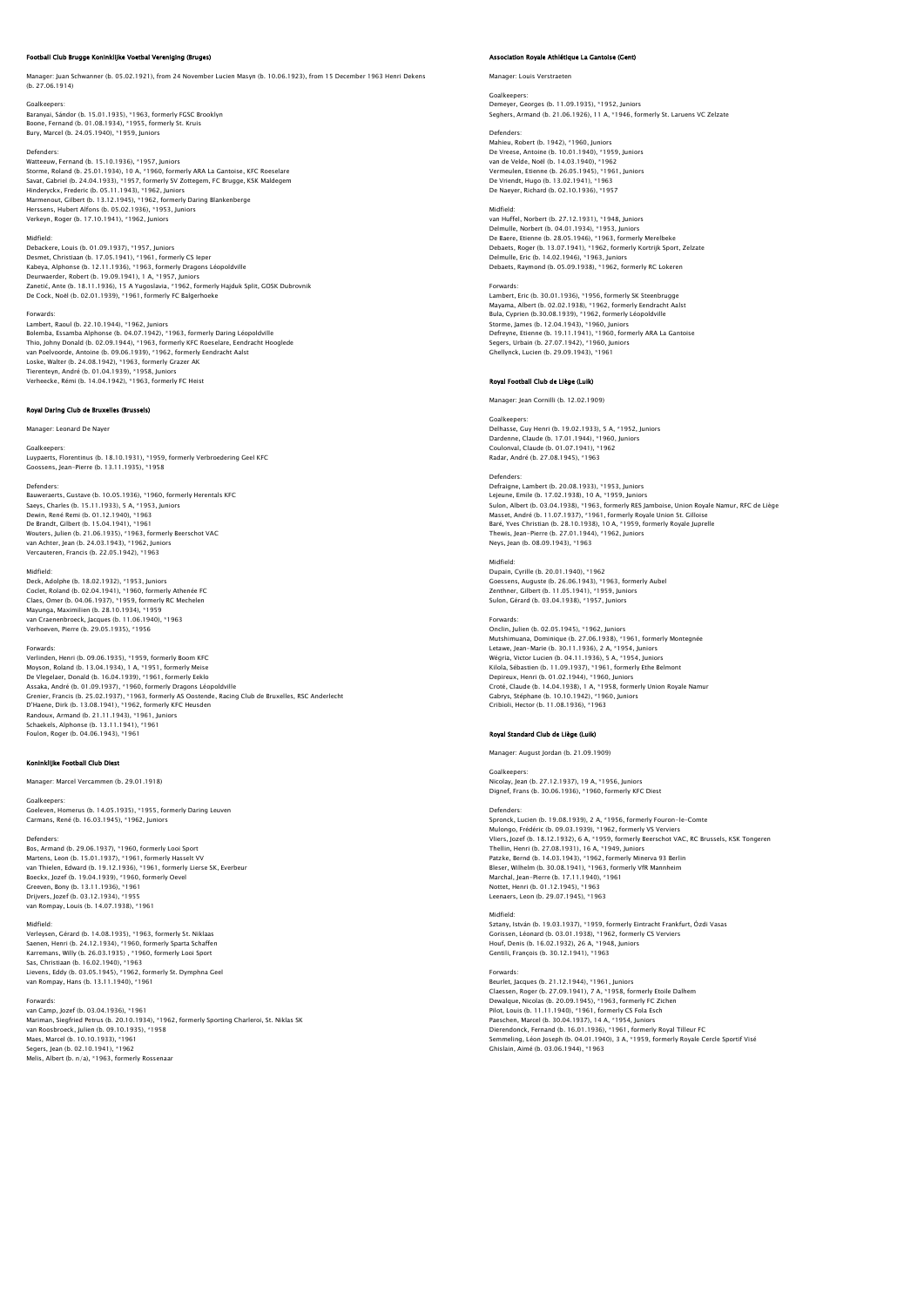# Football Club Brugge Koninklijke Voetbal Vereniging (Bruges)

Manager: Juan Schwanner (b. 05.02.1921), from 24 November Lucien Masyn (b. 10.06.1923), from 15 December 1963 Henri Dekens (b. 27.06.1914)

Goalkeepers: Baranyai, Sándor (b. 15.01.1935), \*1963, formerly FGSC Brooklyn Boone, Fernand (b. 01.08.1934), \*1955, formerly St. Kruis Bury, Marcel (b. 24.05.1940), \*1959, Juniors

Defenders: Watteeuw, Fernand (b. 15.10.1936), \*1957, Juniors Storme, Roland (b. 25.01.1934), 10 A, \*1960, formerly ARA La Gantoise, KFC Roeselare Savat, Gabriel (b. 24.04.1933), \*1957, formerly SV Zottegem, FC Brugge, KSK Maldegem Hinderyckx, Frederic (b. 05.11.1943), \*1962, Juniors<br>Marmenout, Gilbert (b. 13.12.1945), \*1962, formerly Daring Blankenberge<br>Herssens, Hubert Alfons (b. 05.02.1936), \*1953, Juniors Verkeyn, Roger (b. 17.10.1941), \*1962, Juniors

Midfield:<br>Debackere, Louis (b. 01.09.1937), \*1957, Juniors<br>Desmet, Christiaan (b. 17.05.1941), \*1961, formerly CS Ieper<br>Kabeya, Alphonse (b. 12.11.1936), \*1963, formerly Dragons Léopoldville Deurwaerder, Robert (b. 19.09.1941), 1 A, \*1957, Juniors Zanetić, Ante (b. 18.11.1936), 15 A Yugoslavia, \*1962, formerly Hajduk Split, GOSK Dubrovnik De Cock, Noёl (b. 02.01.1939), \*1961, formerly FC Balgerhoeke

# Forwards:

Lambert, Raoul (b. 22.10.1944), \*1962, juniors<br>Bolemba, Essamba Alphonse (b. 04.07.1942), \*1963, formerly Daring Léopoldville<br>Thio, Johny Donald (b. 02.09.1944), \*1963, formerly KFC Roeselare, Eendracht Hooglede<br>van Poelvo Tierenteyn, André (b. 01.04.1939), \*1958, Juniors Verheecke, Rémi (b. 14.04.1942), \*1963, formerly FC Heist

# Royal Daring Club de Bruxelles (Brussels)

Manager: Leonard De Nayer

## Goalkeepers:

Luypaerts, Florentinus (b. 18.10.1931), \*1959, formerly Verbroedering Geel KFC Goossens, Jean-Pierre (b. 13.11.1935), \*1958

## Defenders:

Bauweraerts, Gustave (b. 10.05.1936), \*1960, formerly Herentals KFC<br>Saeys, Charles (b. 15.11.1933), 5 A, \*1953, Juniors<br>Dewin, René Remi (b. 01.12.1940), \*1963 De Brandt, Gilbert (b. 15.04.1941), \*1961 Wouters, Julien (b. 21.06.1935), \*1963, formerly Beerschot VAC van Achter, Jean (b. 24.03.1943), \*1962, Juniors Vercauteren, Francis (b. 22.05.1942), \*1963

## Midfield:

Deck, Adolphe (b. 18.02.1932), \*1953, Juniors Coclet, Roland (b. 02.04.1941), \*1960, formerly Athenée FC Claes, Omer (b. 04.06.1937), \*1959, formerly RC Mechelen Mayunga, Maximilien (b. 28.10.1934), \*1959 van Craenenbroeck, Jacques (b. 11.06.1940), \*1963 Verhoeven, Pierre (b. 29.05.1935), \*1956

## Forwards:

Verlinden, Henri (b. 09.06.1935), \*1959, formerly Boom KFC Moyson, Roland (b. 13.04.1934), 1 A, \*1951, formerly Meise De Vlegelaer, Donald (b. 16.04.1939), \*1961, formerly Eeklo Assaka, André (b. 01.09.1937), \*1960, formerly Dragons Léopoldville<br>Grenier, Francis (b. 25.02.1937), \*1963, formerly AS Oostende, Racing Club de Bruxelles, RSC Anderlecht<br>D'Haene, Dirk (b. 13.08.1941), \*1962, formerly KFC

## .<br>Koning of Club Diest

Manager: Marcel Vercammen (b. 29.01.1918)

Goalkeepers: Goeleven, Homerus (b. 14.05.1935), \*1955, formerly Daring Leuven Carmans, René (b. 16.03.1945), \*1962, Juniors

# Defenders:

Bos, Armand (b. 29.06.1937), \*1960, formerly Looi Sport<br>Martens, Leon (b. 15.01.1937), \*1961, formerly Hasselt VV<br>van Thielen, Edward (b. 19.12.1936), \*1961, formerly Lierse SK, Everbeur<br>Boeckx, Jozef (b. 19.04.1939), \*196 Greeven, Bony (b. 13.11.1936), \*1961 Drijvers, Jozef (b. 03.12.1934), \*1955 van Rompay, Louis (b. 14.07.1938), \*1961

# Midfield:

Verleysen, Gérard (b. 14.08.1935), \* 1963, formerly St. Niklaas<br>Saenen, Henri (b. 24.12.1934), \*1960, formerly Sparta Schaffen<br>Karremans, Willy (b. 26.03.1935) , \*1960, formerly Looi Sport<br>Sas, Christiaan (b. 15.02.1945), van Rompay, Hans (b. 13.11.1940), \*1961

Forwards: van Camp, Jozef (b. 03.04.1936), \*1961 Mariman, Siegfried Petrus (b. 20.10.1934), \*1962, formerly Sporting Charleroi, St. Niklas SK van Roosbroeck, Julien (b. 09.10.1935), \*1958 Maes, Marcel (b. 10.10.1933), \*1961 Segers, Jean (b. 02.10.1941), \*1962 Melis, Albert (b. n/a), \*1963, formerly Rossenaar

# .<br>Association Royale Athlétique La Ga

Manager: Louis Verstraeten

## Goalkeepers:

Demeyer, Georges (b. 11.09.1935), \*1952, Juniors Seghers, Armand (b. 21.06.1926), 11 A, \*1946, formerly St. Laruens VC Zelzate

Defenders:<br>Mahieu, Robert (b. 1942), \*1960, Juniors<br>De Vreese, Antoine (b. 10.01.1940), \*1952, Juniors<br>van de Velde, Noël (b. 14.03.1940), \*1962 Vermeulen, Etienne (b. 26.05.1945), \*1961, Juniors De Vriendt, Hugo (b. 13.02.1941), \*1963 De Naeyer, Richard (b. 02.10.1936), \*1957

## Midfield:

van Huffel, Norbert (b. 27.12.1931), \*1948, Juniors Delmulle, Norbert (b. 04.01.1934), \*1953, Juniors<br>De Baere, Etienne (b. 28.05.1946), \*1963, formerly Merelbeke<br>Debaets, Roger (b. 13.07.1941), \*1962, formerly Kortrijk Sport, Zelzate<br>Debaets, Raymond (b. 05.09.1938), \*1962

Forwards: Lambert, Eric (b. 30.01.1936), \*1956, formerly SK Steenbrugge Mayama, Albert (b. 02.02.1938), \*1962, formerly Eendracht Aalst Bula, Cyprien (b.30.08.1939), \*1962, formerly Léopoldville Storme, James (b. 12.04.1943), \*1960, Juniors Defreyne, Etienne (b. 19.11.1941), \*1960, formerly ARA La Gantoise Segers, Urbain (b. 27.07.1942), \*1960, Juniors Ghellynck, Lucien (b. 29.09.1943), \*1961

## Royal Football Club de Liège (Luik)

Manager: Jean Cornilli (b. 12.02.1909)

# Goalkeepers:

Delhasse, Guy Henri (b. 19.02.1933), 5 A, \*1952, Juniors Dardenne, Claude (b. 17.01.1944), \*1960, Juniors Coulonval, Claude (b. 01.07.1941), \*1962 Radar, André (b. 27.08.1945), \*1963

## Defenders:

Defraigne, Lambert (b. 20.08.1933), \*1953, Juniors Lejeune, Emile (b. 17.02.1938), 10 A, \*1959, Juniors<br>Sulon, Albert (b. 03.04.1938), \*1963, formerly RES Jamboise, Union Royale Namur, RFC de Liège<br>Masset, André (b. 11.07.1937), \*1961, formerly Royale Union St. Gilloise<br>Ba Neys, Jean (b. 08.09.1943), \*1963

# Midfield: Dupain, Cyrille (b. 20.01.1940), \*1962 Goessens, Auguste (b. 26.06.1943), \*1963, formerly Aubel Zenthner, Gilbert (b. 11.05.1941), \*1959, Juniors Sulon, Gérard (b. 03.04.1938), \*1957, Juniors

## Forwards:

Onclin, Julien (b. 02.05.1945), \*1962, Juniors Mutshimuana, Dominique (b. 27.06.1938), \*1961, formerly Montegnée Letawe, Jean-Marie (b. 30.11.1936), 2 A, \*1954, Juniors Wégria, Victor Lucien (b. 04.11.1936), 5 A, \*1954, Juniors Kilola, Sébastien (b. 11.09.1937), +1961, formerly Ethe Belmont<br>Copieux, Henri (b. 01.02.1944), \*1960, Juniors<br>Croté, Claude (b. 14.04.1938), 1 A, \*1958, formerly Union Royale Namur<br>Gaholi, Hector (b. 11.08.1936), \*1963<br>Cr

## Royal Standard Club de Liège (Luik)

Manager: August Jordan (b. 21.09.1909)

Goalkeepers

Nicolay, Jean (b. 27.12.1937), 19 A, \*1956, Juniors Dignef, Frans (b. 30.06.1936), \*1960, formerly KFC Diest

## Defenders

Spronck, Lucien (b. 19.08.1939), 2 A, \*1956, formerly Fouron-le-Comte Mulongo, Frédéric (b. 09.03.1939), \*1962, formerly VS Verviers Vliers, Jozef (b. 18.12.1932), 6 A, \*1959, formerly Beerschot VAC, RC Brussels, KSK Tongeren Thellin, Henri (b. 27.08.1931), 16 A, \*1949, Juniors Patzke, Bernd (b. 14.03.1943), \*1962, formerly Minerva 93 Berlin Bleser, Wilhelm (b. 30.08.1941), \*1963, formerly VfR Mannheim Marchal, Jean-Pierre (b. 17.11.1940), \*1961 Nottet, Henri (b. 01.12.1945), \*1963 Leenaers, Leon (b. 29.07.1945), \*1963

Midfield: Sztany, István (b. 19.03.1937), \*1959, formerly Eintracht Frankfurt, Ózdi Vasas Gorissen, Léonard (b. 03.01.1938), \*1962, formerly CS Verviers Houf, Denis (b. 16.02.1932), 26 A, \*1948, Juniors Gentili, François (b. 30.12.1941), \*1963

Forwards:<br>Beurlet, Jacques (b. 21.12.1944), \*1961, Juniors<br>Claessen, Roger (b. 27.09.1941), 7 A, \*1958, formerly Etoile Dalhem<br>Dewalque, Nicolas (b. 20.09.1945), \*1963, formerly FC Zichen<br>Pilot, Louis (b. 11.11.1940), \*196 Dierendonck, Fernand (b. 16.01.1936), \*1961, formerly Royal Tilleur FC<br>Semmeling, Léon Joseph (b. 04.01.1940), 3 A, \*1959, formerly Royale Cercle Sportif Visé<br>Ghislain, Aimé (b. 03.06.1944), \*1963